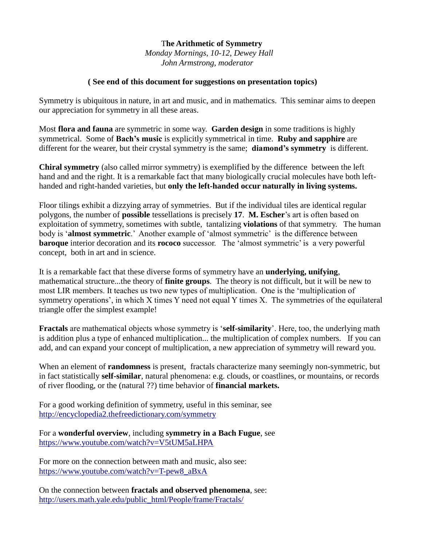## T**he Arithmetic of Symmetry**  *Monday Mornings, 10-12, Dewey Hall John Armstrong, moderator*

## **( See end of this document for suggestions on presentation topics)**

Symmetry is ubiquitous in nature, in art and music, and in mathematics. This seminar aims to deepen our appreciation for symmetry in all these areas.

Most **flora and fauna** are symmetric in some way. **Garden design** in some traditions is highly symmetrical. Some of **Bach's music** is explicitly symmetrical in time. **Ruby and sapphire** are different for the wearer, but their crystal symmetry is the same; **diamond's symmetry** is different.

**Chiral symmetry** (also called mirror symmetry) is exemplified by the difference between the left hand and and the right. It is a remarkable fact that many biologically crucial molecules have both lefthanded and right-handed varieties, but **only the left-handed occur naturally in living systems.**

Floor tilings exhibit a dizzying array of symmetries. But if the individual tiles are identical regular polygons, the number of **possible** tessellations is precisely **17**. **M. Escher**'s art is often based on exploitation of symmetry, sometimes with subtle, tantalizing **violations** of that symmetry. The human body is '**almost symmetric**.' Another example of 'almost symmetric' is the difference between **baroque** interior decoration and its **rococo** successor. The 'almost symmetric' is a very powerful concept, both in art and in science.

It is a remarkable fact that these diverse forms of symmetry have an **underlying, unifying**, mathematical structure...the theory of **finite groups**. The theory is not difficult, but it will be new to most LIR members. It teaches us two new types of multiplication. One is the 'multiplication of symmetry operations', in which X times Y need not equal Y times X. The symmetries of the equilateral triangle offer the simplest example!

**Fractals** are mathematical objects whose symmetry is '**self-similarity**'. Here, too, the underlying math is addition plus a type of enhanced multiplication... the multiplication of complex numbers. If you can add, and can expand your concept of multiplication, a new appreciation of symmetry will reward you.

When an element of **randomness** is present, fractals characterize many seemingly non-symmetric, but in fact statistically **self-similar**, natural phenomena: e.g. clouds, or coastlines, or mountains, or records of river flooding, or the (natural ??) time behavior of **financial markets.**

For a good working definition of symmetry, useful in this seminar, see <http://encyclopedia2.thefreedictionary.com/symmetry>

For a **wonderful overview**, including **symmetry in a Bach Fugue**, see <https://www.youtube.com/watch?v=V5tUM5aLHPA>

For more on the connection between math and music, also see: [https://www.youtube.com/watch?v=T-pew8\\_aBxA](https://www.youtube.com/watch?v=T-pew8_aBxA)

On the connection between **fractals and observed phenomena**, see: [http://users.math.yale.edu/public\\_html/People/frame/Fractals/](http://users.math.yale.edu/public_html/People/frame/Fractals/)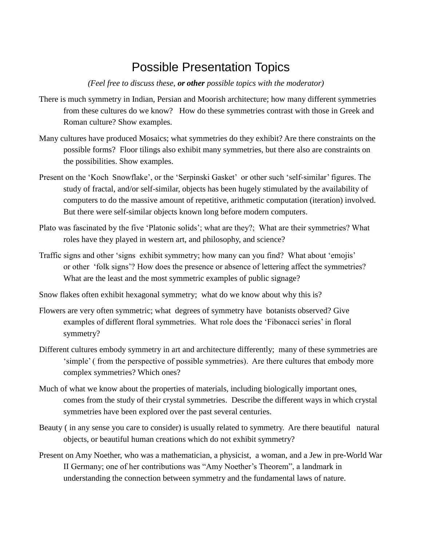## Possible Presentation Topics

*(Feel free to discuss these, or other possible topics with the moderator)* 

- There is much symmetry in Indian, Persian and Moorish architecture; how many different symmetries from these cultures do we know? How do these symmetries contrast with those in Greek and Roman culture? Show examples.
- Many cultures have produced Mosaics; what symmetries do they exhibit? Are there constraints on the possible forms? Floor tilings also exhibit many symmetries, but there also are constraints on the possibilities. Show examples.
- Present on the 'Koch Snowflake', or the 'Serpinski Gasket' or other such 'self-similar' figures. The study of fractal, and/or self-similar, objects has been hugely stimulated by the availability of computers to do the massive amount of repetitive, arithmetic computation (iteration) involved. But there were self-similar objects known long before modern computers.
- Plato was fascinated by the five 'Platonic solids'; what are they?; What are their symmetries? What roles have they played in western art, and philosophy, and science?
- Traffic signs and other 'signs exhibit symmetry; how many can you find? What about 'emojis' or other 'folk signs'? How does the presence or absence of lettering affect the symmetries? What are the least and the most symmetric examples of public signage?
- Snow flakes often exhibit hexagonal symmetry; what do we know about why this is?
- Flowers are very often symmetric; what degrees of symmetry have botanists observed? Give examples of different floral symmetries. What role does the 'Fibonacci series' in floral symmetry?
- Different cultures embody symmetry in art and architecture differently; many of these symmetries are 'simple' ( from the perspective of possible symmetries). Are there cultures that embody more complex symmetries? Which ones?
- Much of what we know about the properties of materials, including biologically important ones, comes from the study of their crystal symmetries. Describe the different ways in which crystal symmetries have been explored over the past several centuries.
- Beauty ( in any sense you care to consider) is usually related to symmetry. Are there beautiful natural objects, or beautiful human creations which do not exhibit symmetry?
- Present on Amy Noether, who was a mathematician, a physicist, a woman, and a Jew in pre-World War II Germany; one of her contributions was "Amy Noether's Theorem", a landmark in understanding the connection between symmetry and the fundamental laws of nature.